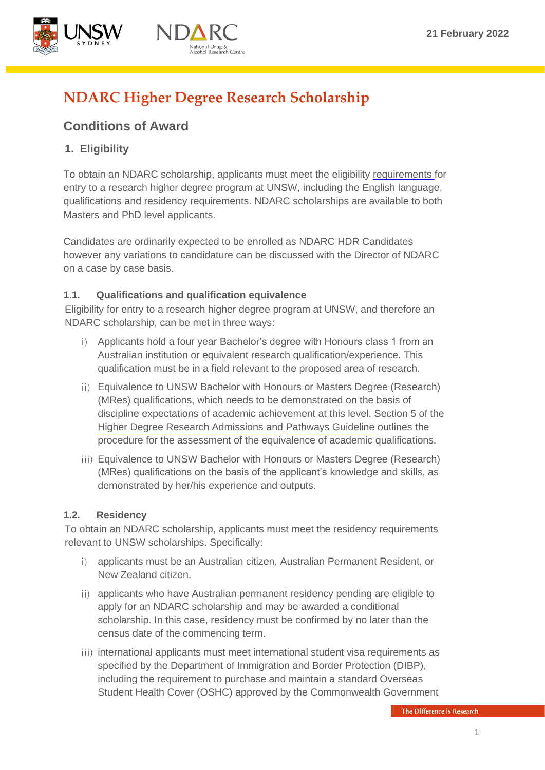

# **NDARC Higher Degree Research Scholarship**

# **Conditions of Award**

## **1. Eligibility**

To obtain an NDARC scholarship, applicants must meet the eligibility [requirements](https://research.unsw.edu.au/submit-application) for entry to a research higher degree program at UNSW, including the English language, qualifications and residency requirements. NDARC scholarships are available to both Masters and PhD level applicants.

Candidates are ordinarily expected to be enrolled as NDARC HDR Candidates however any variations to candidature can be discussed with the Director of NDARC on a case by case basis.

## **1.1. Qualifications and qualification equivalence**

Eligibility for entry to a research higher degree program at UNSW, and therefore an NDARC scholarship, can be met in three ways:

- i) Applicants hold a four year Bachelor's degree with Honours class 1 from an Australian institution or equivalent research qualification/experience. This qualification must be in a field relevant to the proposed area of research.
- Equivalence to UNSW Bachelor with Honours or Masters Degree (Research) (MRes) qualifications, which needs to be demonstrated on the basis of discipline expectations of academic achievement at this level. Section 5 of the [Higher Degree Research Admissions and](https://www.gs.unsw.edu.au/policy/documents/hdradmissionsguideline.pdf) [Pathways Guideline](https://www.gs.unsw.edu.au/policy/documents/hdradmissionsguideline.pdf) outlines the procedure for the assessment of the equivalence of academic qualifications.
- Equivalence to UNSW Bachelor with Honours or Masters Degree (Research) (MRes) qualifications on the basis of the applicant's knowledge and skills, as demonstrated by her/his experience and outputs.

### **1.2. Residency**

To obtain an NDARC scholarship, applicants must meet the residency requirements relevant to UNSW scholarships. Specifically:

- applicants must be an Australian citizen, Australian Permanent Resident, or New Zealand citizen.
- ii) applicants who have Australian permanent residency pending are eligible to apply for an NDARC scholarship and may be awarded a conditional scholarship. In this case, residency must be confirmed by no later than the census date of the commencing term.
- iii) international applicants must meet international student visa requirements as specified by the Department of Immigration and Border Protection (DIBP), including the requirement to purchase and maintain a standard Overseas Student Health Cover (OSHC) approved by the Commonwealth Government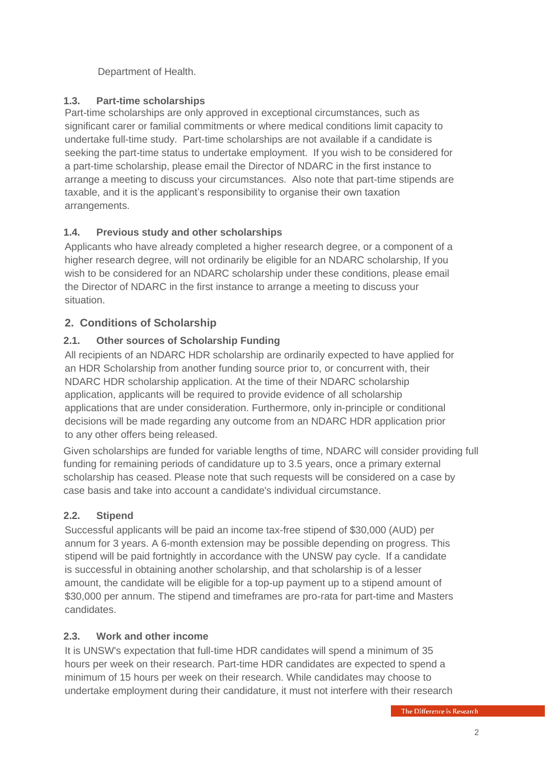## Department of Health.

## **1.3. Part-time scholarships**

Part-time scholarships are only approved in exceptional circumstances, such as significant carer or familial commitments or where medical conditions limit capacity to undertake full-time study. Part-time scholarships are not available if a candidate is seeking the part-time status to undertake employment. If you wish to be considered for a part-time scholarship, please email the Director of NDARC in the first instance to arrange a meeting to discuss your circumstances. Also note that part-time stipends are taxable, and it is the applicant's responsibility to organise their own taxation arrangements.

## **1.4. Previous study and other scholarships**

Applicants who have already completed a higher research degree, or a component of a higher research degree, will not ordinarily be eligible for an NDARC scholarship, If you wish to be considered for an NDARC scholarship under these conditions, please email the Director of NDARC in the first instance to arrange a meeting to discuss your situation.

## **2. Conditions of Scholarship**

## **2.1. Other sources of Scholarship Funding**

All recipients of an NDARC HDR scholarship are ordinarily expected to have applied for an HDR Scholarship from another funding source prior to, or concurrent with, their NDARC HDR scholarship application. At the time of their NDARC scholarship application, applicants will be required to provide evidence of all scholarship applications that are under consideration. Furthermore, only in-principle or conditional decisions will be made regarding any outcome from an NDARC HDR application prior to any other offers being released.

Given scholarships are funded for variable lengths of time, NDARC will consider providing full funding for remaining periods of candidature up to 3.5 years, once a primary external scholarship has ceased. Please note that such requests will be considered on a case by case basis and take into account a candidate's individual circumstance.

## **2.2. Stipend**

Successful applicants will be paid an income tax-free stipend of \$30,000 (AUD) per annum for 3 years. A 6-month extension may be possible depending on progress. This stipend will be paid fortnightly in accordance with the UNSW pay cycle. If a candidate is successful in obtaining another scholarship, and that scholarship is of a lesser amount, the candidate will be eligible for a top-up payment up to a stipend amount of \$30,000 per annum. The stipend and timeframes are pro-rata for part-time and Masters candidates.

### **2.3. Work and other income**

It is UNSW's expectation that full-time HDR candidates will spend a minimum of 35 hours per week on their research. Part-time HDR candidates are expected to spend a minimum of 15 hours per week on their research. While candidates may choose to undertake employment during their candidature, it must not interfere with their research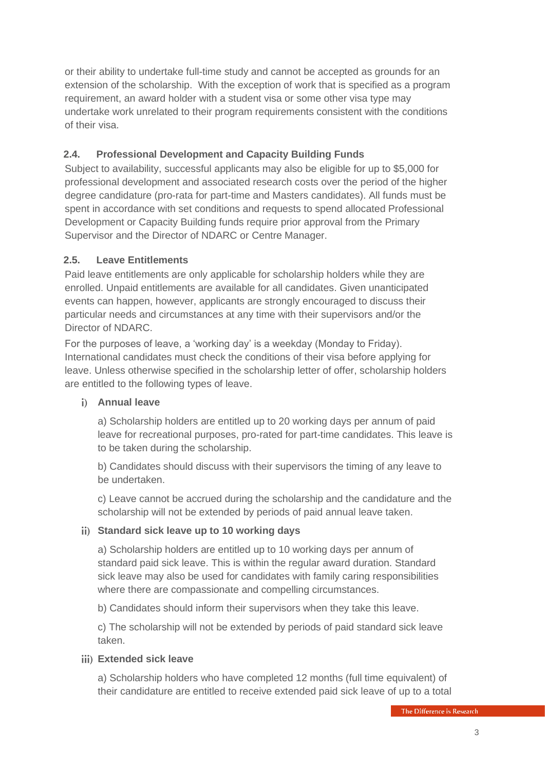or their ability to undertake full-time study and cannot be accepted as grounds for an extension of the scholarship. With the exception of work that is specified as a program requirement, an award holder with a student visa or some other visa type may undertake work unrelated to their program requirements consistent with the conditions of their visa.

## **2.4. Professional Development and Capacity Building Funds**

Subject to availability, successful applicants may also be eligible for up to \$5,000 for professional development and associated research costs over the period of the higher degree candidature (pro-rata for part-time and Masters candidates). All funds must be spent in accordance with set conditions and requests to spend allocated Professional Development or Capacity Building funds require prior approval from the Primary Supervisor and the Director of NDARC or Centre Manager.

### **2.5. Leave Entitlements**

Paid leave entitlements are only applicable for scholarship holders while they are enrolled. Unpaid entitlements are available for all candidates. Given unanticipated events can happen, however, applicants are strongly encouraged to discuss their particular needs and circumstances at any time with their supervisors and/or the Director of NDARC.

For the purposes of leave, a 'working day' is a weekday (Monday to Friday). International candidates must check the conditions of their visa before applying for leave. Unless otherwise specified in the scholarship letter of offer, scholarship holders are entitled to the following types of leave.

### **Annual leave**

a) Scholarship holders are entitled up to 20 working days per annum of paid leave for recreational purposes, pro-rated for part-time candidates. This leave is to be taken during the scholarship.

b) Candidates should discuss with their supervisors the timing of any leave to be undertaken.

c) Leave cannot be accrued during the scholarship and the candidature and the scholarship will not be extended by periods of paid annual leave taken.

### **Standard sick leave up to 10 working days**

a) Scholarship holders are entitled up to 10 working days per annum of standard paid sick leave. This is within the regular award duration. Standard sick leave may also be used for candidates with family caring responsibilities where there are compassionate and compelling circumstances.

b) Candidates should inform their supervisors when they take this leave.

c) The scholarship will not be extended by periods of paid standard sick leave taken.

### **Extended sick leave**

a) Scholarship holders who have completed 12 months (full time equivalent) of their candidature are entitled to receive extended paid sick leave of up to a total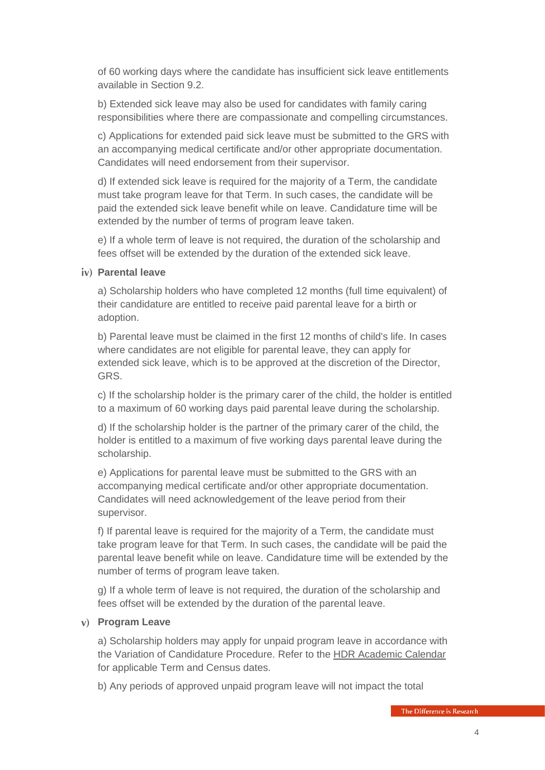of 60 working days where the candidate has insufficient sick leave entitlements available in Section 9.2.

b) Extended sick leave may also be used for candidates with family caring responsibilities where there are compassionate and compelling circumstances.

c) Applications for extended paid sick leave must be submitted to the GRS with an accompanying medical certificate and/or other appropriate documentation. Candidates will need endorsement from their supervisor.

d) If extended sick leave is required for the majority of a Term, the candidate must take program leave for that Term. In such cases, the candidate will be paid the extended sick leave benefit while on leave. Candidature time will be extended by the number of terms of program leave taken.

e) If a whole term of leave is not required, the duration of the scholarship and fees offset will be extended by the duration of the extended sick leave.

#### **Parental leave**

a) Scholarship holders who have completed 12 months (full time equivalent) of their candidature are entitled to receive paid parental leave for a birth or adoption.

b) Parental leave must be claimed in the first 12 months of child's life. In cases where candidates are not eligible for parental leave, they can apply for extended sick leave, which is to be approved at the discretion of the Director, GRS.

c) If the scholarship holder is the primary carer of the child, the holder is entitled to a maximum of 60 working days paid parental leave during the scholarship.

d) If the scholarship holder is the partner of the primary carer of the child, the holder is entitled to a maximum of five working days parental leave during the scholarship.

e) Applications for parental leave must be submitted to the GRS with an accompanying medical certificate and/or other appropriate documentation. Candidates will need acknowledgement of the leave period from their supervisor.

f) If parental leave is required for the majority of a Term, the candidate must take program leave for that Term. In such cases, the candidate will be paid the parental leave benefit while on leave. Candidature time will be extended by the number of terms of program leave taken.

g) If a whole term of leave is not required, the duration of the scholarship and fees offset will be extended by the duration of the parental leave.

#### **Program Leave**

a) Scholarship holders may apply for unpaid program leave in accordance with the Variation of Candidature Procedure. Refer to the [HDR Academic Calendar](https://research.unsw.edu.au/hdr-academic-calendar) for applicable Term and Census dates.

b) Any periods of approved unpaid program leave will not impact the total